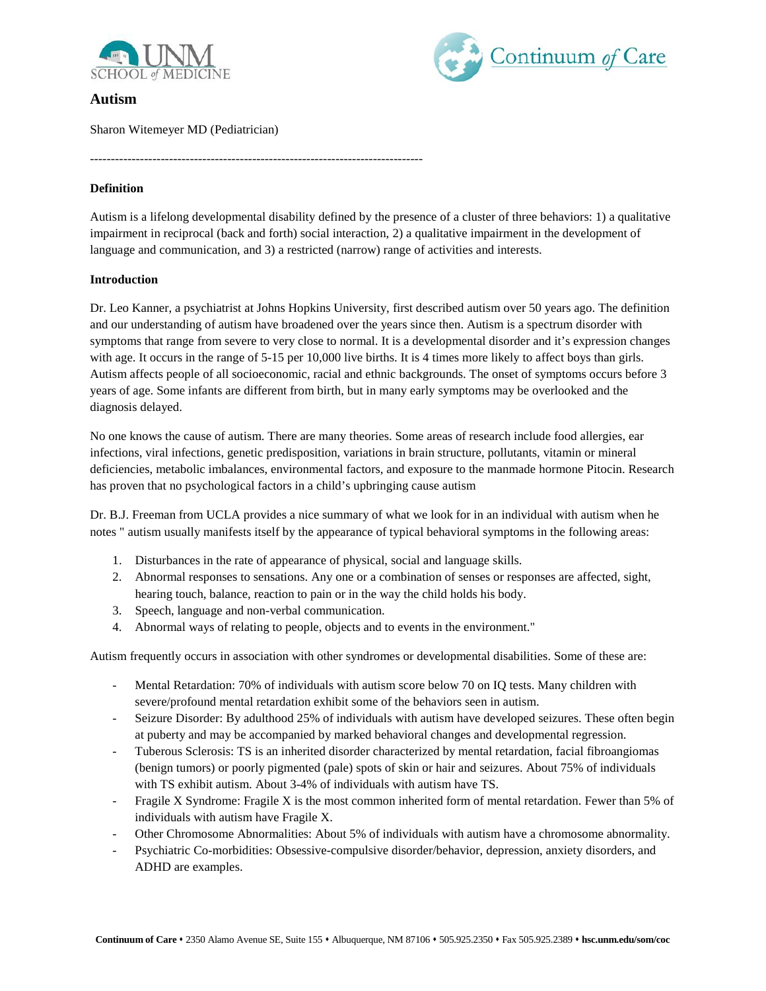



# **Autism**

Sharon Witemeyer MD (Pediatrician)

### **Definition**

Autism is a lifelong developmental disability defined by the presence of a cluster of three behaviors: 1) a qualitative impairment in reciprocal (back and forth) social interaction, 2) a qualitative impairment in the development of language and communication, and 3) a restricted (narrow) range of activities and interests.

--------------------------------------------------------------------------------

# **Introduction**

Dr. Leo Kanner, a psychiatrist at Johns Hopkins University, first described autism over 50 years ago. The definition and our understanding of autism have broadened over the years since then. Autism is a spectrum disorder with symptoms that range from severe to very close to normal. It is a developmental disorder and it's expression changes with age. It occurs in the range of 5-15 per 10,000 live births. It is 4 times more likely to affect boys than girls. Autism affects people of all socioeconomic, racial and ethnic backgrounds. The onset of symptoms occurs before 3 years of age. Some infants are different from birth, but in many early symptoms may be overlooked and the diagnosis delayed.

No one knows the cause of autism. There are many theories. Some areas of research include food allergies, ear infections, viral infections, genetic predisposition, variations in brain structure, pollutants, vitamin or mineral deficiencies, metabolic imbalances, environmental factors, and exposure to the manmade hormone Pitocin. Research has proven that no psychological factors in a child's upbringing cause autism

Dr. B.J. Freeman from UCLA provides a nice summary of what we look for in an individual with autism when he notes " autism usually manifests itself by the appearance of typical behavioral symptoms in the following areas:

- 1. Disturbances in the rate of appearance of physical, social and language skills.
- 2. Abnormal responses to sensations. Any one or a combination of senses or responses are affected, sight, hearing touch, balance, reaction to pain or in the way the child holds his body.
- 3. Speech, language and non-verbal communication.
- 4. Abnormal ways of relating to people, objects and to events in the environment."

Autism frequently occurs in association with other syndromes or developmental disabilities. Some of these are:

- Mental Retardation: 70% of individuals with autism score below 70 on IQ tests. Many children with severe/profound mental retardation exhibit some of the behaviors seen in autism.
- Seizure Disorder: By adulthood 25% of individuals with autism have developed seizures. These often begin at puberty and may be accompanied by marked behavioral changes and developmental regression.
- Tuberous Sclerosis: TS is an inherited disorder characterized by mental retardation, facial fibroangiomas (benign tumors) or poorly pigmented (pale) spots of skin or hair and seizures. About 75% of individuals with TS exhibit autism. About 3-4% of individuals with autism have TS.
- Fragile X Syndrome: Fragile X is the most common inherited form of mental retardation. Fewer than 5% of individuals with autism have Fragile X.
- Other Chromosome Abnormalities: About 5% of individuals with autism have a chromosome abnormality.
- Psychiatric Co-morbidities: Obsessive-compulsive disorder/behavior, depression, anxiety disorders, and ADHD are examples.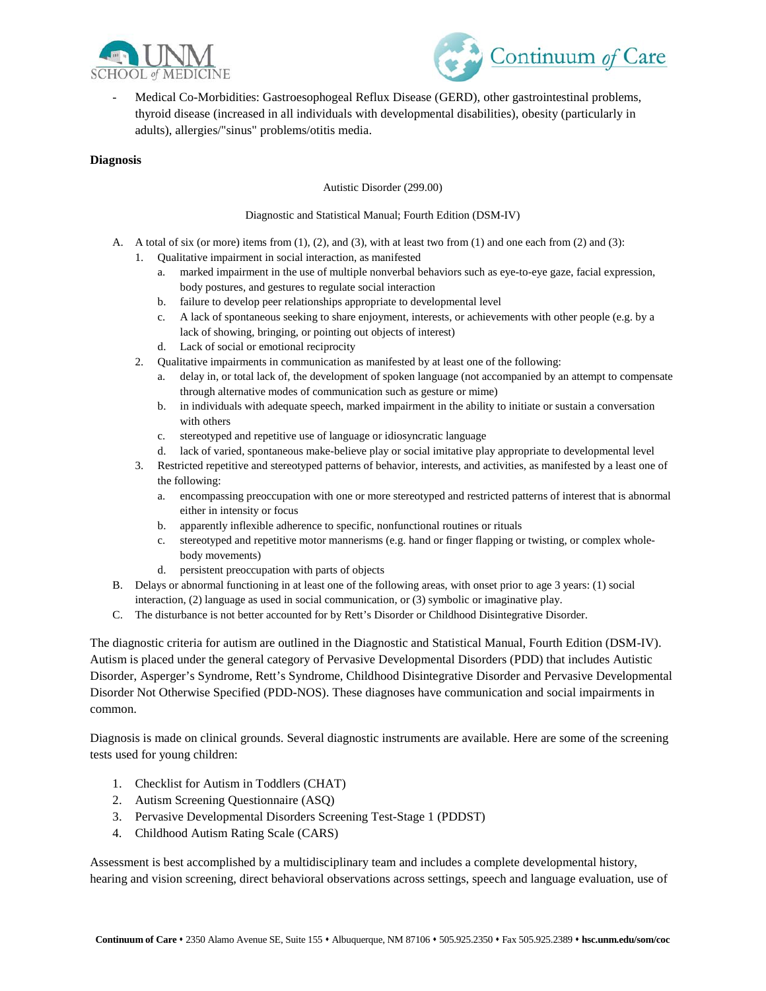



- Medical Co-Morbidities: Gastroesophogeal Reflux Disease (GERD), other gastrointestinal problems, thyroid disease (increased in all individuals with developmental disabilities), obesity (particularly in adults), allergies/"sinus" problems/otitis media.

### **Diagnosis**

#### Autistic Disorder (299.00)

### Diagnostic and Statistical Manual; Fourth Edition (DSM-IV)

- A. A total of six (or more) items from  $(1)$ ,  $(2)$ , and  $(3)$ , with at least two from  $(1)$  and one each from  $(2)$  and  $(3)$ :
	- 1. Qualitative impairment in social interaction, as manifested
		- a. marked impairment in the use of multiple nonverbal behaviors such as eye-to-eye gaze, facial expression, body postures, and gestures to regulate social interaction
		- b. failure to develop peer relationships appropriate to developmental level
		- c. A lack of spontaneous seeking to share enjoyment, interests, or achievements with other people (e.g. by a lack of showing, bringing, or pointing out objects of interest)
		- d. Lack of social or emotional reciprocity
		- 2. Qualitative impairments in communication as manifested by at least one of the following:
			- a. delay in, or total lack of, the development of spoken language (not accompanied by an attempt to compensate through alternative modes of communication such as gesture or mime)
			- b. in individuals with adequate speech, marked impairment in the ability to initiate or sustain a conversation with others
			- c. stereotyped and repetitive use of language or idiosyncratic language
			- d. lack of varied, spontaneous make-believe play or social imitative play appropriate to developmental level
	- 3. Restricted repetitive and stereotyped patterns of behavior, interests, and activities, as manifested by a least one of the following:
		- a. encompassing preoccupation with one or more stereotyped and restricted patterns of interest that is abnormal either in intensity or focus
		- b. apparently inflexible adherence to specific, nonfunctional routines or rituals
		- c. stereotyped and repetitive motor mannerisms (e.g. hand or finger flapping or twisting, or complex wholebody movements)
		- d. persistent preoccupation with parts of objects
- B. Delays or abnormal functioning in at least one of the following areas, with onset prior to age 3 years: (1) social interaction, (2) language as used in social communication, or (3) symbolic or imaginative play.
- C. The disturbance is not better accounted for by Rett's Disorder or Childhood Disintegrative Disorder.

The diagnostic criteria for autism are outlined in the Diagnostic and Statistical Manual, Fourth Edition (DSM-IV). Autism is placed under the general category of Pervasive Developmental Disorders (PDD) that includes Autistic Disorder, Asperger's Syndrome, Rett's Syndrome, Childhood Disintegrative Disorder and Pervasive Developmental Disorder Not Otherwise Specified (PDD-NOS). These diagnoses have communication and social impairments in common.

Diagnosis is made on clinical grounds. Several diagnostic instruments are available. Here are some of the screening tests used for young children:

- 1. Checklist for Autism in Toddlers (CHAT)
- 2. Autism Screening Questionnaire (ASQ)
- 3. Pervasive Developmental Disorders Screening Test-Stage 1 (PDDST)
- 4. Childhood Autism Rating Scale (CARS)

Assessment is best accomplished by a multidisciplinary team and includes a complete developmental history, hearing and vision screening, direct behavioral observations across settings, speech and language evaluation, use of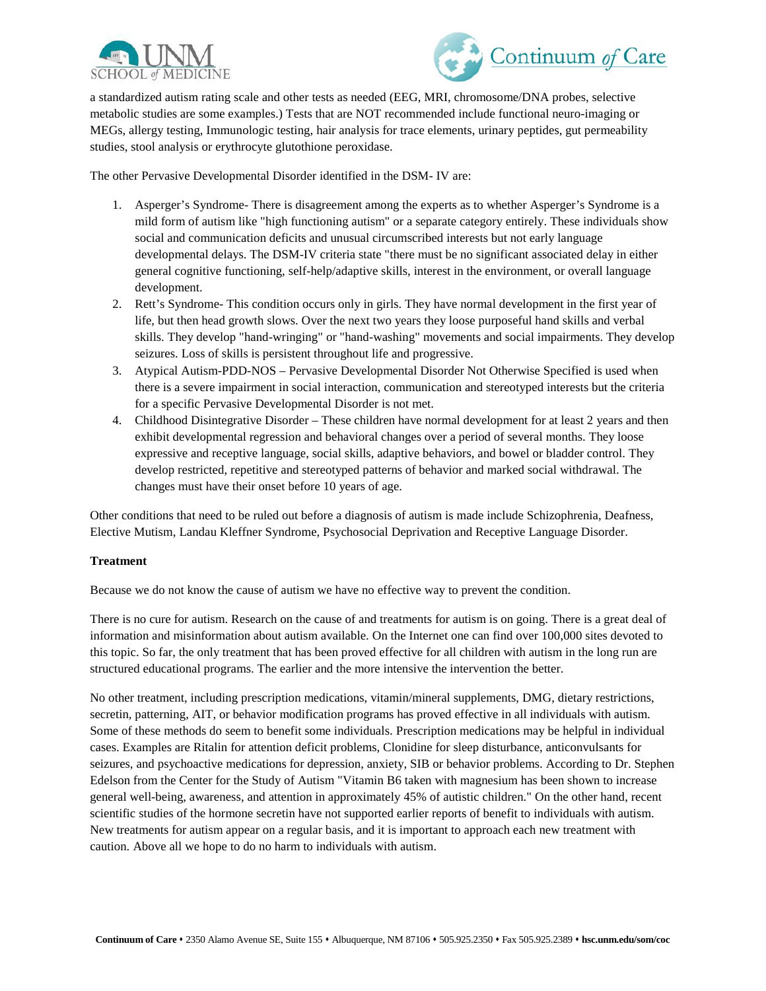



a standardized autism rating scale and other tests as needed (EEG, MRI, chromosome/DNA probes, selective metabolic studies are some examples.) Tests that are NOT recommended include functional neuro-imaging or MEGs, allergy testing, Immunologic testing, hair analysis for trace elements, urinary peptides, gut permeability studies, stool analysis or erythrocyte glutothione peroxidase.

The other Pervasive Developmental Disorder identified in the DSM- IV are:

- 1. Asperger's Syndrome- There is disagreement among the experts as to whether Asperger's Syndrome is a mild form of autism like "high functioning autism" or a separate category entirely. These individuals show social and communication deficits and unusual circumscribed interests but not early language developmental delays. The DSM-IV criteria state "there must be no significant associated delay in either general cognitive functioning, self-help/adaptive skills, interest in the environment, or overall language development.
- 2. Rett's Syndrome- This condition occurs only in girls. They have normal development in the first year of life, but then head growth slows. Over the next two years they loose purposeful hand skills and verbal skills. They develop "hand-wringing" or "hand-washing" movements and social impairments. They develop seizures. Loss of skills is persistent throughout life and progressive.
- 3. Atypical Autism-PDD-NOS Pervasive Developmental Disorder Not Otherwise Specified is used when there is a severe impairment in social interaction, communication and stereotyped interests but the criteria for a specific Pervasive Developmental Disorder is not met.
- 4. Childhood Disintegrative Disorder These children have normal development for at least 2 years and then exhibit developmental regression and behavioral changes over a period of several months. They loose expressive and receptive language, social skills, adaptive behaviors, and bowel or bladder control. They develop restricted, repetitive and stereotyped patterns of behavior and marked social withdrawal. The changes must have their onset before 10 years of age.

Other conditions that need to be ruled out before a diagnosis of autism is made include Schizophrenia, Deafness, Elective Mutism, Landau Kleffner Syndrome, Psychosocial Deprivation and Receptive Language Disorder.

### **Treatment**

Because we do not know the cause of autism we have no effective way to prevent the condition.

There is no cure for autism. Research on the cause of and treatments for autism is on going. There is a great deal of information and misinformation about autism available. On the Internet one can find over 100,000 sites devoted to this topic. So far, the only treatment that has been proved effective for all children with autism in the long run are structured educational programs. The earlier and the more intensive the intervention the better.

No other treatment, including prescription medications, vitamin/mineral supplements, DMG, dietary restrictions, secretin, patterning, AIT, or behavior modification programs has proved effective in all individuals with autism. Some of these methods do seem to benefit some individuals. Prescription medications may be helpful in individual cases. Examples are Ritalin for attention deficit problems, Clonidine for sleep disturbance, anticonvulsants for seizures, and psychoactive medications for depression, anxiety, SIB or behavior problems. According to Dr. Stephen Edelson from the Center for the Study of Autism "Vitamin B6 taken with magnesium has been shown to increase general well-being, awareness, and attention in approximately 45% of autistic children." On the other hand, recent scientific studies of the hormone secretin have not supported earlier reports of benefit to individuals with autism. New treatments for autism appear on a regular basis, and it is important to approach each new treatment with caution. Above all we hope to do no harm to individuals with autism.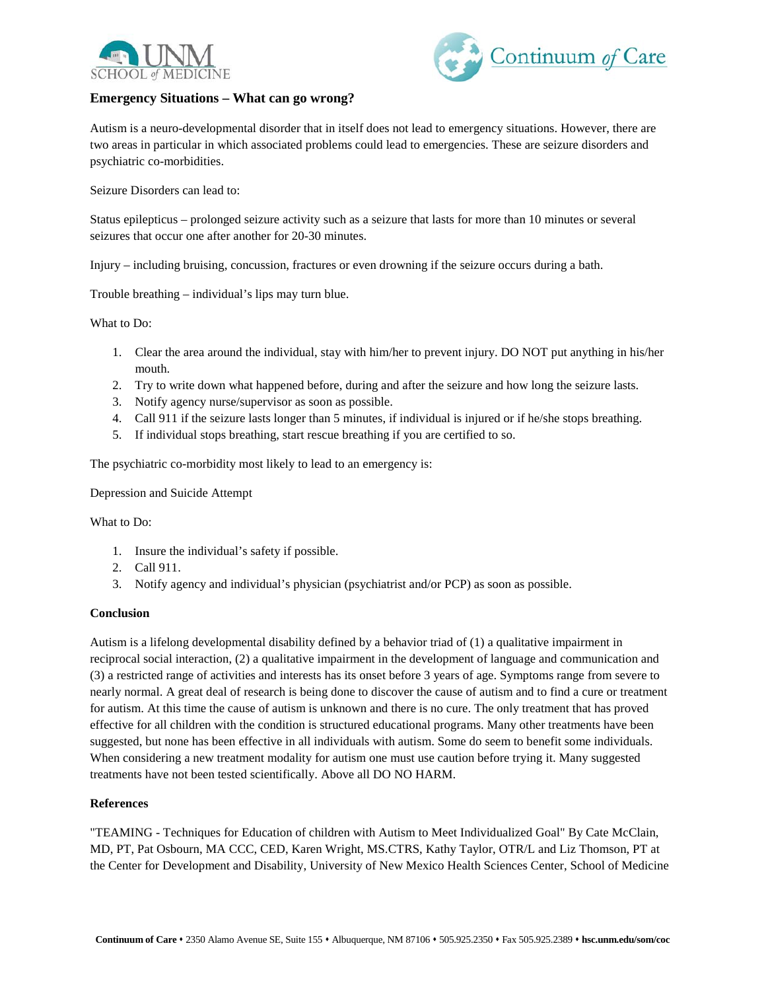



# **Emergency Situations – What can go wrong?**

Autism is a neuro-developmental disorder that in itself does not lead to emergency situations. However, there are two areas in particular in which associated problems could lead to emergencies. These are seizure disorders and psychiatric co-morbidities.

Seizure Disorders can lead to:

Status epilepticus – prolonged seizure activity such as a seizure that lasts for more than 10 minutes or several seizures that occur one after another for 20-30 minutes.

Injury – including bruising, concussion, fractures or even drowning if the seizure occurs during a bath.

Trouble breathing – individual's lips may turn blue.

### What to Do:

- 1. Clear the area around the individual, stay with him/her to prevent injury. DO NOT put anything in his/her mouth.
- 2. Try to write down what happened before, during and after the seizure and how long the seizure lasts.
- 3. Notify agency nurse/supervisor as soon as possible.
- 4. Call 911 if the seizure lasts longer than 5 minutes, if individual is injured or if he/she stops breathing.
- 5. If individual stops breathing, start rescue breathing if you are certified to so.

The psychiatric co-morbidity most likely to lead to an emergency is:

Depression and Suicide Attempt

What to Do:

- 1. Insure the individual's safety if possible.
- 2. Call 911.
- 3. Notify agency and individual's physician (psychiatrist and/or PCP) as soon as possible.

### **Conclusion**

Autism is a lifelong developmental disability defined by a behavior triad of (1) a qualitative impairment in reciprocal social interaction, (2) a qualitative impairment in the development of language and communication and (3) a restricted range of activities and interests has its onset before 3 years of age. Symptoms range from severe to nearly normal. A great deal of research is being done to discover the cause of autism and to find a cure or treatment for autism. At this time the cause of autism is unknown and there is no cure. The only treatment that has proved effective for all children with the condition is structured educational programs. Many other treatments have been suggested, but none has been effective in all individuals with autism. Some do seem to benefit some individuals. When considering a new treatment modality for autism one must use caution before trying it. Many suggested treatments have not been tested scientifically. Above all DO NO HARM.

### **References**

"TEAMING - Techniques for Education of children with Autism to Meet Individualized Goal" By Cate McClain, MD, PT, Pat Osbourn, MA CCC, CED, Karen Wright, MS.CTRS, Kathy Taylor, OTR/L and Liz Thomson, PT at the Center for Development and Disability, University of New Mexico Health Sciences Center, School of Medicine